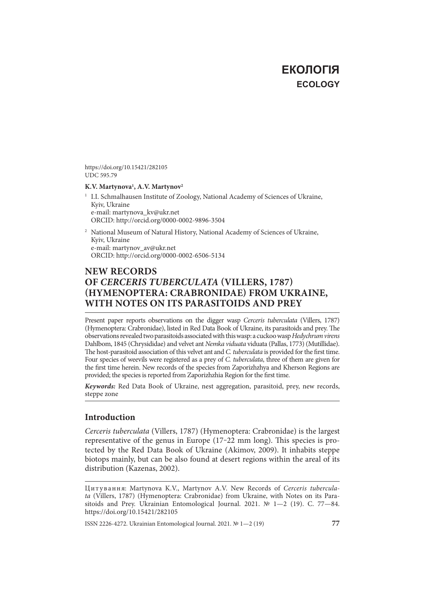# **ЕКОЛОГІЯ FCOLOGY**

https://doi.org/10.15421/282105 UDC 595.79

#### **K.V. Martynova1 , A.V. Martynov2**

- <sup>1</sup> I.I. Schmalhausen Institute of Zoology, National Academy of Sciences of Ukraine, Kyiv, Ukraine e-mail: martynova\_kv@ukr.net ORCID: http://orcid.org/0000-0002-9896-3504
- 2 National Museum of Natural History, National Academy of Sciences of Ukraine, Kyiv, Ukraine e-mail: martynov\_av@ukr.net ORCID: http://orcid.org/0000-0002-6506-5134

## **NEW RECORDS OF CERCERIS TUBERCULATA (VILLERS, 1787) (HYMENOPTERA: CRABRONIDAE) FROM UKRAINE, WITH NOTES ON ITS PARASITOIDS AND PREY**

Present paper reports observations on the digger wasp *Cerceris tuberculata* (Villers, 1787) (Hymenoptera: Crabronidae), listed in Red Data Book of Ukraine, its parasitoids and prey. The observations revealed two parasitoids associated with this wasp: a cuckoo wasp *Hedychrum virens* Dahlbom, 1845 (Chrysididae) and velvet ant *Nemka viduata* viduata (Pallas, 1773) (Mutillidae). The host-parasitoid association of this velvet ant and *C. tuberculata* is provided for the first time. Four species of weevils were registered as a prey of *C. tuberculata*, three of them are given for the first time herein. New records of the species from Zaporizhzhya and Kherson Regions are provided; the species is reported from Zaporizhzhia Region for the first time.

**Keywords:** Red Data Book of Ukraine, nest aggregation, parasitoid, prey, new records, steppe zone

## **Introduction**

*Cerceris tuberculata* (Villers, 1787) (Hymenoptera: Crabronidae) is the largest representative of the genus in Europe  $(17-22 \text{ mm long})$ . This species is protected by the Red Data Book of Ukraine (Akimov, 2009). It inhabits steppe biotops mainly, but can be also found at desert regions within the areal of its distribution (Kazenas, 2002).

Цит ув ання: Martynova K.V., Martynov A.V. New Records of *Cerceris tubercula*ta (Villers, 1787) (Hymenoptera: Crabronidae) from Ukraine, with Notes on its Parasitoids and Prey. Ukrainian Entomological Journal. 2021.  $\mathbb{N}^2$  1-2 (19). C. 77-84. https://doi.org/10.15421/282105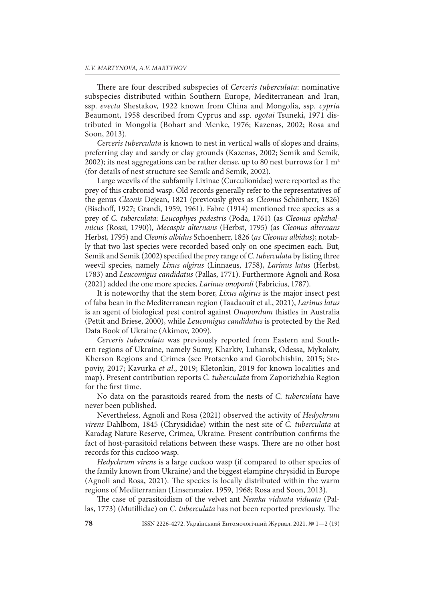There are four described subspecies of *Cerceris tuberculata*: nominative subspecies distributed within Southern Europe, Mediterranean and Iran, ssp. *evecta* Shestakov, 1922 known from China and Mongolia, ssp*. cypria*  Beaumont, 1958 described from Cyprus and ssp*. ogotai* Tsuneki, 1971 distributed in Mongolia (Bohart and Menke, 1976; Kazenas, 2002; Rosa and Soon, 2013).

*Cerceris tuberculata* is known to nest in vertical walls of slopes and drains, preferring clay and sandy or clay grounds (Kazenas, 2002; Semik and Semik, 2002); its nest aggregations can be rather dense, up to 80 nest burrows for 1  $m<sup>2</sup>$ (for details of nest structure see Semik and Semik, 2002).

Large weevils of the subfamily Lixinae (Curculionidae) were reported as the prey of this crabronid wasp. Old records generally refer to the representatives of the genus *Cleonis* Dejean, 1821 (previously gives as *Cleonus* Schönherr, 1826) (Bischoff, 1927; Grandi, 1959, 1961). Fabre (1914) mentioned tree species as a prey of *C. tuberculata*: *Leucophyes pedestris* (Poda, 1761) (as *Cleonus ophthalmicus* (Rossi, 1790)), *Mecaspis alternans* (Herbst, 1795) (as *Cleonus alternans*  Herbst, 1795) and *Cleonis albidus* Schoenherr, 1826 (as Cleonus albidus); notably that two last species were recorded based only on one specimen each. But, Semik and Semik (2002) specified the prey range of *C. tuberculata* by listing three weevil species, namely *Lixus algirus* (Linnaeus, 1758), *Larinus latus* (Herbst, 1783) and *Leucomigus candidatus* (Pallas, 1771). Furthermore Agnoli and Rosa (2021) added the one more species, *Larinus onopordi* (Fabricius, 1787).

It is noteworthy that the stem borer, *Lixus algirus* is the major insect pest of faba bean in the Mediterranean region (Taadaouit et al., 2021), *Larinus latus* is an agent of biological pest control against *Onopordum* thistles in Australia (Pettit and Briese, 2000), while *Leucomigus candidatus* is protected by the Red Data Book of Ukraine (Akimov, 2009).

*Cerceris tuberculata* was previously reported from Eastern and Southern regions of Ukraine, namely Sumy, Kharkiv, Luhansk, Odessa, Mykolaiv, Kherson Regions and Crimea (see Protsenko and Gorobchishin, 2015; Stepoviy, 2017; Kavurka *et al*., 2019; Kletonkin, 2019 for known localities and map). Present contribution reports *C. tuberculata* from Zaporizhzhia Region for the first time.

No data on the parasitoids reared from the nests of *C. tuberculata* have never been published.

Nevertheless, Agnoli and Rosa (2021) observed the activity of *Hedychrum virens* Dahlbom, 1845 (Chrysididae) within the nest site of *C. tuberculata* at Karadag Nature Reserve, Crimea, Ukraine. Present contribution confirms the fact of host-parasitoid relations between these wasps. There are no other host records for this cuckoo wasp.

*Hedychrum virens* is a large cuckoo wasp (if compared to other species of the family known from Ukraine) and the biggest elampine chrysidid in Europe (Agnoli and Rosa, 2021). The species is locally distributed within the warm regions of Mediterranian (Linsenmaier, 1959, 1968; Rosa and Soon, 2013).

The case of parasitoidism of the velvet ant *Nemka viduata viduata* (Pallas, 1773) (Mutillidae) on *C. tuberculata* has not been reported previously. The

**78** ISSN 2226-4272. Український Ентомологічний Журнал. 2021. № 1—2 (19)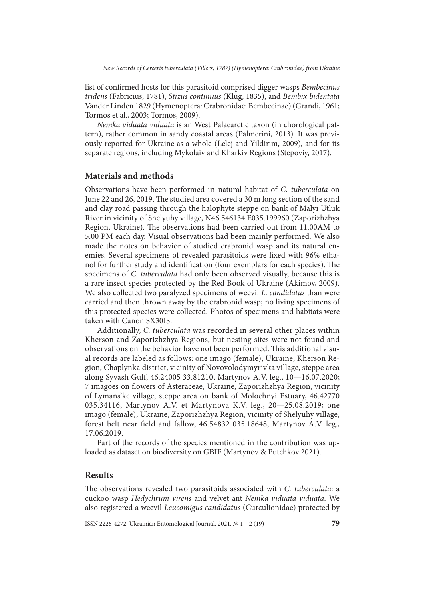list of confirmed hosts for this parasitoid comprised digger wasps *Bembecinus tridens* (Fabricius, 1781), *Stizus continuus* (Klug, 1835), and *Bembix bidentata* Vander Linden 1829 (Hymenoptera: Crabronidae: Bembecinae) (Grandi, 1961; Tormos et al., 2003; Tormos, 2009).

*Nemka viduata viduata* is an West Palaearctic taxon (in chorological pattern), rather common in sandy coastal areas (Palmerini, 2013). It was previously reported for Ukraine as a whole (Lelej and Yildirim, 2009), and for its separate regions, including Mykolaiv and Kharkiv Regions (Stepoviy, 2017).

### **Materials and methods**

Observations have been performed in natural habitat of *C. tuberculata* on June 22 and 26, 2019. The studied area covered a 30 m long section of the sand and clay road passing through the halophyte steppe on bank of Malyi Utluk River in vicinity of Shelyuhy village, N46.546134 E035.199960 (Zaporizhzhya Region, Ukraine). The observations had been carried out from 11.00AM to 5.00 PM each day. Visual observations had been mainly performed. We also made the notes on behavior of studied crabronid wasp and its natural enemies. Several specimens of revealed parasitoids were fixed with 96% ethanol for further study and identification (four exemplars for each species). The specimens of *C. tuberculata* had only been observed visually, because this is a rare insect species protected by the Red Book of Ukraine (Akimov, 2009). We also collected two paralyzed specimens of weevil *L. candidatus* than were carried and then thrown away by the crabronid wasp; no living specimens of this protected species were collected. Photos of specimens and habitats were taken with Canon SX30IS.

Additionally, *C. tuberculata* was recorded in several other places within Kherson and Zaporizhzhya Regions, but nesting sites were not found and observations on the behavior have not been performed. This additional visual records are labeled as follows: one imago (female), Ukraine, Kherson Region, Chaplynka district, vicinity of Novovolodymyrivka village, steppe area along Syvash Gulf, 46.24005 33.81210, Martynov A.V. leg., 10—16.07.2020; 7 imagoes on flowers of Asteraceae, Ukraine, Zaporizhzhya Region, vicinity of Lymans'ke village, steppe area on bank of Molochnyi Estuary, 46.42770 035.34116, Martynov A.V. et Martynovа K.V. leg., 20—25.08.2019; one imago (female), Ukraine, Zaporizhzhya Region, vicinity of Shelyuhy village, forest belt near field and fallow, 46.54832 035.18648, Martynov A.V. leg., 17.06.2019.

Part of the records of the species mentioned in the contribution was uploaded as dataset on biodiversity on GBIF (Martynov & Putchkov 2021).

## **Results**

The observations revealed two parasitoids associated with *C. tuberculata*: a cuckoo wasp *Hedychrum virens* and velvet ant *Nemka viduata viduata*. We also registered a weevil *Leucomigus candidatus* (Curculionidae) protected by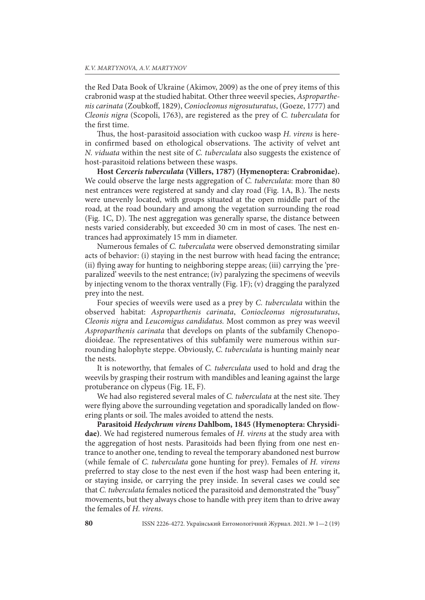the Red Data Book of Ukraine (Akimov, 2009) as the one of prey items of this crabronid wasp at the studied habitat. Other three weevil species, *Asproparthenis carinata* (Zoubkoff, 1829), *Coniocleonus nigrosuturatus*, (Goeze, 1777) and *Cleonis nigra* (Scopoli, 1763), are registered as the prey of *C. tuberculata* for the first time.

Thus, the host-parasitoid association with cuckoo wasp *H. virens* is herein confirmed based on ethological observations. The activity of velvet ant *N. viduata* within the nest site of *C. tuberculata* also suggests the existence of host-parasitoid relations between these wasps.

**Host Cerceris tuberculata (Villers, 1787) (Hymenoptera: Crabronidae).**  We could observe the large nests aggregation of *C. tuberculata*: more than 80 nest entrances were registered at sandy and clay road (Fig. 1A, B.). The nests were unevenly located, with groups situated at the open middle part of the road, at the road boundary and among the vegetation surrounding the road (Fig. 1C, D). The nest aggregation was generally sparse, the distance between nests varied considerably, but exceeded 30 cm in most of cases. The nest entrances had approximately 15 mm in diameter.

Numerous females of *C. tuberculata* were observed demonstrating similar acts of behavior: (i) staying in the nest burrow with head facing the entrance; (ii) flying away for hunting to neighboring steppe areas; (iii) carrying the 'preparalized' weevils to the nest entrance; (iv) paralyzing the specimens of weevils by injecting venom to the thorax ventrally (Fig. 1F); (v) dragging the paralyzed prey into the nest.

Four species of weevils were used as a prey by *C. tuberculata* within the observed habitat: *Asproparthenis carinata*, *Coniocleonus nigrosuturatus*, *Cleonis nigra* and *Leucomigus candidatus.* Most common as prey was weevil *Asproparthenis carinata* that develops on plants of the subfamily Chenopodioideae. The representatives of this subfamily were numerous within surrounding halophyte steppe. Obviously, *C. tuberculata* is hunting mainly near the nests.

It is noteworthy, that females of *C. tuberculata* used to hold and drag the weevils by grasping their rostrum with mandibles and leaning against the large protuberance on clypeus (Fig. 1E, F).

We had also registered several males of *C. tuberculata* at the nest site. They were flying above the surrounding vegetation and sporadically landed on flowering plants or soil. The males avoided to attend the nests.

**Parasitoid Hedychrum virens Dahlbom, 1845 (Hymenoptera: Chrysididae)**. We had registered numerous females of *H. virens* at the study area with the aggregation of host nests. Parasitoids had been flying from one nest entrance to another one, tending to reveal the temporary abandoned nest burrow (while female of *C. tuberculata* gone hunting for prey). Females of *H. virens*  preferred to stay close to the nest even if the host wasp had been entering it, or staying inside, or carrying the prey inside. In several cases we could see that *C. tuberculata* females noticed the parasitoid and demonstrated the "busy" movements, but they always chose to handle with prey item than to drive away the females of *H. virens*.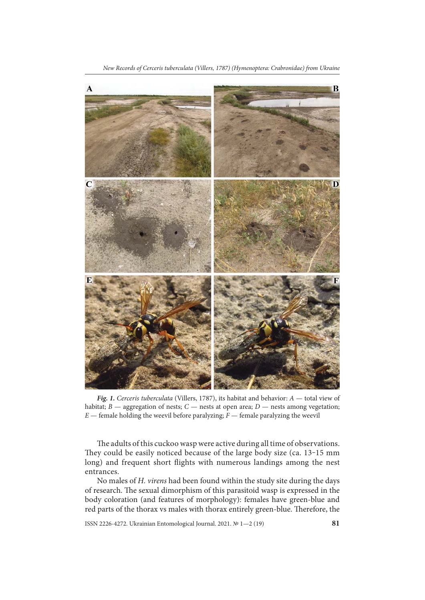

**Fig. 1.** *Cerceris tuberculata* (Villers, 1787), its habitat and behavior: *A* — total view of habitat; *B* — aggregation of nests; *C* — nests at open area; *D* — nests among vegetation;  $E$  — female holding the weevil before paralyzing;  $F$  — female paralyzing the weevil

The adults of this cuckoo wasp were active during all time of observations. They could be easily noticed because of the large body size (ca. 13-15 mm long) and frequent short flights with numerous landings among the nest entrances.

No males of *H. virens* had been found within the study site during the days of research. The sexual dimorphism of this parasitoid wasp is expressed in the body coloration (and features of morphology): females have green-blue and red parts of the thorax vs males with thorax entirely green-blue. Therefore, the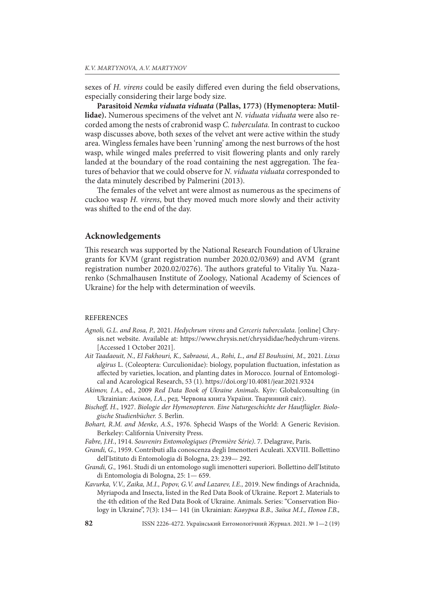sexes of *H. virens* could be easily differed even during the field observations, especially considering their large body size.

**Parasitoid Nemka viduata viduata (Pallas, 1773) (Hymenoptera: Mutillidae).** Numerous specimens of the velvet ant *N. viduata viduata* were also recorded among the nests of crabronid wasp *C. tuberculata.* In contrast to cuckoo wasp discusses above, both sexes of the velvet ant were active within the study area. Wingless females have been 'running' among the nest burrows of the host wasp, while winged males preferred to visit flowering plants and only rarely landed at the boundary of the road containing the nest aggregation. The features of behavior that we could observe for *N. viduata viduata* corresponded to the data minutely described by Palmerini (2013).

The females of the velvet ant were almost as numerous as the specimens of cuckoo wasp *H. virens*, but they moved much more slowly and their activity was shifted to the end of the day.

## **Acknowledgements**

This research was supported by the National Research Foundation of Ukraine grants for KVM (grant registration number 2020.02/0369) and AVM (grant registration number 2020.02/0276). The authors grateful to Vitaliy Yu. Nazarenko (Schmalhausen Institute of Zoology, National Academy of Sciences of Ukraine) for the help with determination of weevils.

#### REFERENCES

- *Agnoli, G.L. and Rosa, P.,* 2021. *Hedychrum virens* and *Cerceris tuberculata*. [online] Chrysis.net website. Available at: https://www.chrysis.net/chrysididae/hedychrum-virens. [Accessed 1 October 2021].
- *Ait Taadaouit, N., El Fakhouri, K., Sabraoui, A., Rohi, L., and El Bouhssini, M.,* 2021. *Lixus algirus* L. (Coleoptera: Curculionidae): biology, population fluctuation, infestation as affected by varieties, location, and planting dates in Morocco. Journal of Entomological and Acarological Research, 53 (1). https://doi.org/10.4081/jear.2021.9324
- *Akimov, I.A*., ed., 2009 *Red Data Book of Ukraine Animals*. Kyiv: Globalconsulting (in Ukrainian: *Акімов, І.А.*, ред. Червона книга України. Тваринний світ).
- Bischoff, H., 1927. Biologie der Hymenopteren. Eine Naturgeschichte der Hautflügler. Biolo*gische Studienbücher. 5*. Berlin.
- *Bohart, R.M. and Menke*, *A.S.,* 1976. Sphecid Wasps of the World: A Generic Revision. Berkeley: California University Press.
- Fabre, J.H., 1914. *Souvenirs Entomologiques (Première Série)*. 7. Delagrave, Paris.
- *Grandi, G.,* 1959. Contributi alla conoscenza degli Imenotteri Aculeati. XXVIII. Bollettino dell'Istituto di Entomologia di Bologna, 23: 239— 292.
- *Grandi, G.,* 1961. Studi di un entomologo sugli imenotteri superiori. Bollettino dell'Istituto di Entomologia di Bologna, 25: 1— 659.
- Kavurka, V.V., Zaika, M.I., Popov, G.V. and Lazarev, I.E., 2019. New findings of Arachnida, Myriapoda and Insecta, listed in the Red Data Book of Ukraine. Report 2. Materials to the 4th edition of the Red Data Book of Ukraine. Animals. Series: "Conservation Biology in Ukraine", 7(3): 134— 141 (in Ukrainian: *Кавурка В.В., Заїка М.І., Попов Г.В.,*

**82** ISSN 2226-4272. Український Ентомологічний Журнал. 2021. № 1—2 (19)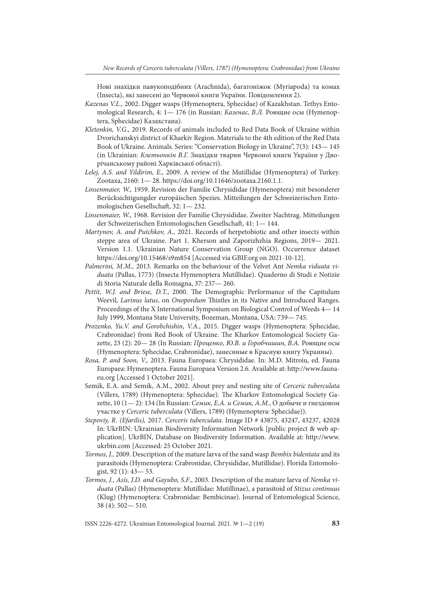Нові знахідки павукоподібних (Arachnida), багатоніжок (Myriapoda) та комах (Insecta), які занесені до Червоної книги України. Повідомлення 2).

- *Kazenas V.L.,* 2002. Digger wasps (Hymenoptera, Sphecidae) of Kazakhstan. Tethys Entomological Research, 4: 1— 176 (in Russian: *Казенас, В.Л.* Роющие осы (Hymenoptera, Sphecidae) Казахстана).
- *Kletonkin, V.G.,* 2019. Records of animals included to Red Data Book of Ukraine within Dvorichanskyi district of Kharkiv Region. Materials to the 4th edition of the Red Data Book of Ukraine. Animals. Series: "Conservation Biology in Ukraine", 7(3): 143— 145 (in Ukrainian: *Клетьонкін В.Г.* Знахідки тварин Червоної книги України у Дворічанському районі Харківської області).
- *Lelej, A.S. and Yildirim, E.,* 2009. A review of the Mutillidae (Hymenoptera) of Turkey. Zootaxa, 2160: 1— 28. https://doi.org/10.11646/zootaxa.2160.1.1.
- *Linsenmaier, W.,* 1959. Revision der Familie Chrysididae (Hymenoptera) mit besonderer Berücksichtigungder europäischen Spezies. Mitteilungen der Schweizerischen Entomologischen Gesellschaft, 32: 1-232.
- *Linsenmaier, W.,* 1968. Revision der Familie Chrysididae. Zweiter Nachtrag. Mitteilungen der Schweizerischen Entomologischen Gesellschaft, 41: 1-144.
- *Martynov, A. and Putchkov, A.,* 2021. Records of herpetobiotic and other insects within steppe area of Ukraine. Part 1. Kherson and Zaporizhzhia Regions, 2019— 2021. Version 1.1. Ukrainian Nature Conservation Group (NGO). Occurrence dataset https://doi.org/10.15468/s9m854 [Accessed via GBIF.org on 2021-10-12].
- *Palmerini, M.M.,* 2013. Remarks on the behaviour of the Velvet Ant *Nemka viduata viduata* (Pallas, 1773) (Insecta Hymenoptera Mutillidae). Quaderno di Studi e Notizie di Storia Naturale della Romagna, 37: 237— 260.
- Pettit, W.J. and Briese, D.T., 2000. The Demographic Performance of the Capitulum Weevil, *Larinus latus*, on *Onopordum* Thistles in its Native and Introduced Ranges. Proceedings of the X International Symposium on Biological Control of Weeds 4— 14 July 1999, Montana State University, Bozeman, Montana, USA: 739— 745.
- *Prozenko, Yu.V. and Gorobchishin, V.A.,* 2015. Digger wasps (Hymenoptera: Sphecidae, Crabronidae) from Red Book of Ukraine. The Kharkov Entomological Society Gazette, 23 (2): 20— 28 (In Russian: *Проценко, Ю.В. и Горобчишин, В.А.* Роющие осы (Hymenoptera: Sphecidae, Crabronidae), занеснные в Красную книгу Украины).
- *Rosa, P. and Soon, V.,* 2013. Fauna Europaea: Chrysididae. In: M.D. Mitroiu, ed. Fauna Europaea: Hymenoptera. Fauna Europaea Version 2.6. Available at: http://www.faunaeu.org [Accessed 1 October 2021].
- Semik, E.A. and Semik, A.M., 2002. About prey and nesting site of *Cerceric tuberculata* (Villers, 1789) (Hymenoptera: Sphecidae). The Kharkov Entomological Society Gazette, 10 (1— 2): 134 (In Russian: *Семик, Е.А. и Семик, А.М.*, О добыче и гнездовом участке у *Cerceric tuberculata* (Villers, 1789) (Hymenoptera: Sphecidae)).
- *Stepoviy, R. (Efarilis),* 2017. *Cerceris tuberculata*. Image ID # 43875, 43247, 43237, 42028 In: UkrBIN: Ukrainian Biodiversity Information Network [public project & web application]. UkrBIN, Database on Biodiversity Information. Available at: http://www. ukrbin.com [Accessed: 25 October 2021.
- *Tormos, J.,* 2009. Description of the mature larva of the sand wasp *Bembix bidentata* and its parasitoids (Hymenoptera: Crabronidae, Chrysididae, Mutillidae). Florida Entomologist, 92 (1): 43— 53.
- *Tormos, J., Asís, J.D. and Gayubo, S.F*., 2003. Description of the mature larva of *Nemka viduata* (Pallas) (Hymenoptera: Mutillidae: Mutillinae), a parasitoid of *Stizus continuus* (Klug) (Hymenoptera: Crabronidae: Bembicinae). Journal of Entomological Science, 38 (4): 502— 510.